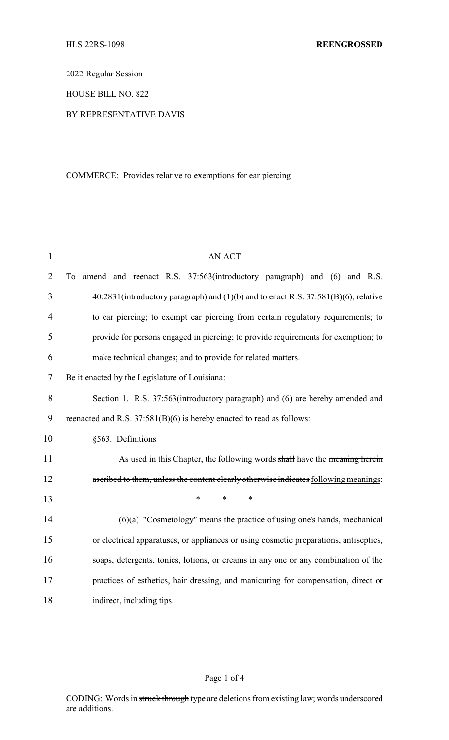2022 Regular Session

HOUSE BILL NO. 822

## BY REPRESENTATIVE DAVIS

# COMMERCE: Provides relative to exemptions for ear piercing

| $\mathbf{1}$   | <b>AN ACT</b>                                                                         |
|----------------|---------------------------------------------------------------------------------------|
| $\overline{2}$ | amend and reenact R.S. 37:563(introductory paragraph) and (6) and R.S.<br>To          |
| 3              | 40:2831(introductory paragraph) and (1)(b) and to enact R.S. 37:581(B)(6), relative   |
| 4              | to ear piercing; to exempt ear piercing from certain regulatory requirements; to      |
| 5              | provide for persons engaged in piercing; to provide requirements for exemption; to    |
| 6              | make technical changes; and to provide for related matters.                           |
| $\tau$         | Be it enacted by the Legislature of Louisiana:                                        |
| 8              | Section 1. R.S. 37:563(introductory paragraph) and (6) are hereby amended and         |
| 9              | reenacted and R.S. 37:581(B)(6) is hereby enacted to read as follows:                 |
| 10             | §563. Definitions                                                                     |
| 11             | As used in this Chapter, the following words shall have the meaning herein            |
| 12             | ascribed to them, unless the content clearly otherwise indicates following meanings:  |
| 13             | $\ast$<br>$\ast$<br>$\ast$                                                            |
| 14             | $(6)(a)$ "Cosmetology" means the practice of using one's hands, mechanical            |
| 15             | or electrical apparatuses, or appliances or using cosmetic preparations, antiseptics, |
| 16             | soaps, detergents, tonics, lotions, or creams in any one or any combination of the    |
| 17             | practices of esthetics, hair dressing, and manicuring for compensation, direct or     |
| 18             | indirect, including tips.                                                             |

# Page 1 of 4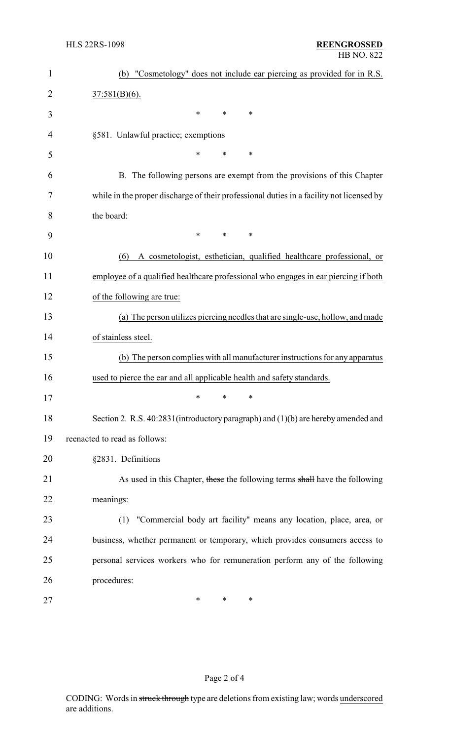| $\mathbf{1}$   | (b) "Cosmetology" does not include ear piercing as provided for in R.S.                  |
|----------------|------------------------------------------------------------------------------------------|
| $\overline{2}$ | $37:581(B)(6)$ .                                                                         |
| 3              | $\ast$<br>*<br>$\ast$                                                                    |
| 4              | §581. Unlawful practice; exemptions                                                      |
| 5              | $\ast$<br>*<br>*                                                                         |
| 6              | B. The following persons are exempt from the provisions of this Chapter                  |
| 7              | while in the proper discharge of their professional duties in a facility not licensed by |
| 8              | the board:                                                                               |
| 9              | $\ast$<br>$\ast$<br>$\ast$                                                               |
| 10             | A cosmetologist, esthetician, qualified healthcare professional, or<br>(6)               |
| 11             | employee of a qualified healthcare professional who engages in ear piercing if both      |
| 12             | of the following are true:                                                               |
| 13             | (a) The person utilizes piercing needles that are single-use, hollow, and made           |
| 14             | of stainless steel.                                                                      |
| 15             | (b) The person complies with all manufacturer instructions for any apparatus             |
| 16             | used to pierce the ear and all applicable health and safety standards.                   |
| 17             | ∗<br>∗<br>∗                                                                              |
| 18             | Section 2. R.S. 40:2831(introductory paragraph) and (1)(b) are hereby amended and        |
| 19             | reenacted to read as follows:                                                            |
| 20             | §2831. Definitions                                                                       |
| 21             | As used in this Chapter, these the following terms shall have the following              |
| 22             | meanings:                                                                                |
| 23             | (1) "Commercial body art facility" means any location, place, area, or                   |
| 24             | business, whether permanent or temporary, which provides consumers access to             |
| 25             | personal services workers who for remuneration perform any of the following              |
| 26             | procedures:                                                                              |
| 27             | ∗<br>∗<br>$\ast$                                                                         |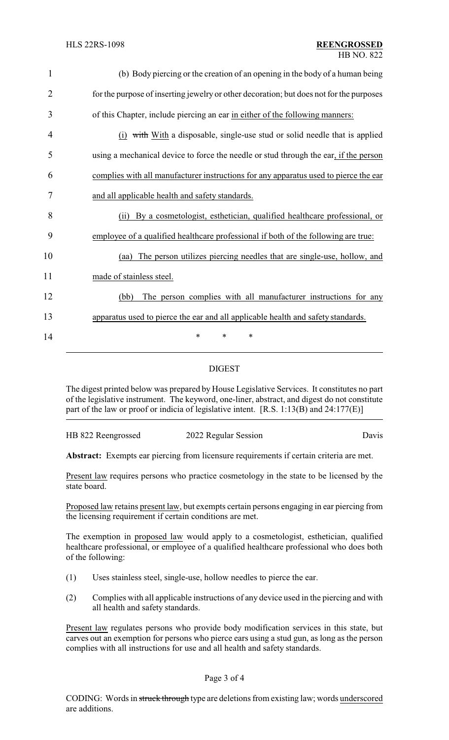| 1              | (b) Body piercing or the creation of an opening in the body of a human being            |
|----------------|-----------------------------------------------------------------------------------------|
| $\overline{2}$ | for the purpose of inserting jewelry or other decoration; but does not for the purposes |
| 3              | of this Chapter, include piercing an ear in either of the following manners:            |
| 4              | (i) with With a disposable, single-use stud or solid needle that is applied             |
| 5              | using a mechanical device to force the needle or stud through the ear, if the person    |
| 6              | complies with all manufacturer instructions for any apparatus used to pierce the ear    |
| 7              | and all applicable health and safety standards.                                         |
| 8              | By a cosmetologist, esthetician, qualified healthcare professional, or<br>(i)           |
| 9              | employee of a qualified healthcare professional if both of the following are true:      |
| 10             | The person utilizes piercing needles that are single-use, hollow, and<br>(aa)           |
| 11             | made of stainless steel.                                                                |
| 12             | The person complies with all manufacturer instructions for any<br>(bb)                  |
| 13             | apparatus used to pierce the ear and all applicable health and safety standards.        |
| 14             | *<br>∗                                                                                  |

## DIGEST

The digest printed below was prepared by House Legislative Services. It constitutes no part of the legislative instrument. The keyword, one-liner, abstract, and digest do not constitute part of the law or proof or indicia of legislative intent. [R.S. 1:13(B) and 24:177(E)]

HB 822 Reengrossed 2022 Regular Session Davis

**Abstract:** Exempts ear piercing from licensure requirements if certain criteria are met.

Present law requires persons who practice cosmetology in the state to be licensed by the state board.

Proposed law retains present law, but exempts certain persons engaging in ear piercing from the licensing requirement if certain conditions are met.

The exemption in proposed law would apply to a cosmetologist, esthetician, qualified healthcare professional, or employee of a qualified healthcare professional who does both of the following:

- (1) Uses stainless steel, single-use, hollow needles to pierce the ear.
- (2) Complies with all applicable instructions of any device used in the piercing and with all health and safety standards.

Present law regulates persons who provide body modification services in this state, but carves out an exemption for persons who pierce ears using a stud gun, as long as the person complies with all instructions for use and all health and safety standards.

#### Page 3 of 4

CODING: Words in struck through type are deletions from existing law; words underscored are additions.